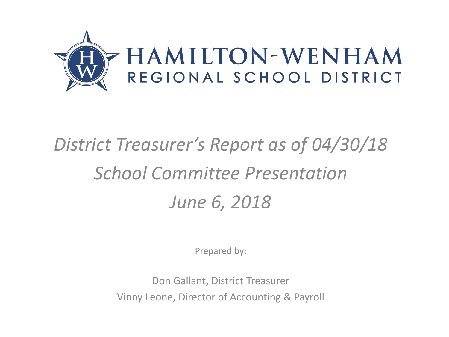

# *District Treasurer's Report as of 04/30/18 School Committee Presentation June 6, 2018*

Prepared by:

Don Gallant, District Treasurer Vinny Leone, Director of Accounting & Payroll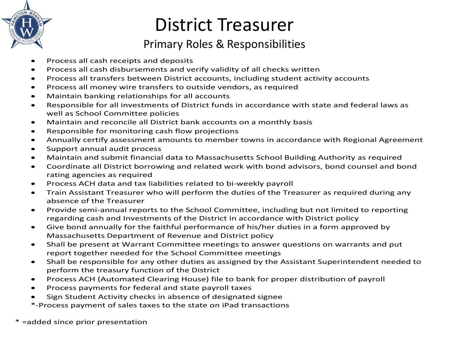

## District Treasurer

#### Primary Roles & Responsibilities

- Process all cash receipts and deposits
- Process all cash disbursements and verify validity of all checks written
- Process all transfers between District accounts, including student activity accounts
- Process all money wire transfers to outside vendors, as required
- Maintain banking relationships for all accounts
- Responsible for all investments of District funds in accordance with state and federal laws as well as School Committee policies
- Maintain and reconcile all District bank accounts on a monthly basis
- Responsible for monitoring cash flow projections
- Annually certify assessment amounts to member towns in accordance with Regional Agreement
- Support annual audit process
- Maintain and submit financial data to Massachusetts School Building Authority as required
- Coordinate all District borrowing and related work with bond advisors, bond counsel and bond rating agencies as required
- Process ACH data and tax liabilities related to bi-weekly payroll
- Train Assistant Treasurer who will perform the duties of the Treasurer as required during any absence of the Treasurer
- Provide semi-annual reports to the School Committee, including but not limited to reporting regarding cash and Investments of the District in accordance with District policy
- Give bond annually for the faithful performance of his/her duties in a form approved by Massachusetts Department of Revenue and District policy
- Shall be present at Warrant Committee meetings to answer questions on warrants and put report together needed for the School Committee meetings
- Shall be responsible for any other duties as assigned by the Assistant Superintendent needed to perform the treasury function of the District
- Process ACH (Automated Clearing House) file to bank for proper distribution of payroll
- Process payments for federal and state payroll taxes
- Sign Student Activity checks in absence of designated signee
- \*-Process payment of sales taxes to the state on iPad transactions

\* =added since prior presentation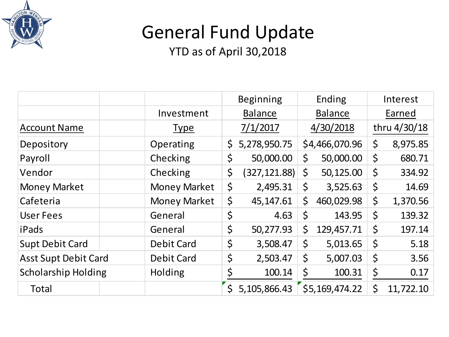

## General Fund Update

|                             |                     | <b>Beginning</b> |                |         | Ending         | Interest     |           |
|-----------------------------|---------------------|------------------|----------------|---------|----------------|--------------|-----------|
|                             | Investment          |                  | <b>Balance</b> |         | <b>Balance</b> | Earned       |           |
| <b>Account Name</b>         | <b>Type</b>         | 7/1/2017         |                |         | 4/30/2018      | thru 4/30/18 |           |
| Depository                  | Operating           | \$               | 5,278,950.75   |         | \$4,466,070.96 | \$           | 8,975.85  |
| Payroll                     | Checking            | \$               | 50,000.00      | \$      | 50,000.00      | \$           | 680.71    |
| Vendor                      | Checking            | \$               | (327, 121.88)  | \$      | 50,125.00      | $\zeta$      | 334.92    |
| <b>Money Market</b>         | <b>Money Market</b> | \$               | 2,495.31       | $\zeta$ | 3,525.63       | \$           | 14.69     |
| Cafeteria                   | <b>Money Market</b> | \$               | 45,147.61      | \$      | 460,029.98     | \$           | 1,370.56  |
| <b>User Fees</b>            | General             | \$               | 4.63           | \$      | 143.95         | $\varsigma$  | 139.32    |
| iPads                       | General             | $\varsigma$      | 50,277.93      | \$      | 129,457.71     | $\zeta$      | 197.14    |
| <b>Supt Debit Card</b>      | <b>Debit Card</b>   | \$               | 3,508.47       | \$      | 5,013.65       | $\zeta$      | 5.18      |
| <b>Asst Supt Debit Card</b> | <b>Debit Card</b>   | \$               | 2,503.47       | \$      | 5,007.03       | $\zeta$      | 3.56      |
| <b>Scholarship Holding</b>  | Holding             | \$               | 100.14         | \$      | 100.31         | \$           | 0.17      |
| Total                       |                     | $\zeta$          | 5,105,866.43   |         | \$5,169,474.22 | \$           | 11,722.10 |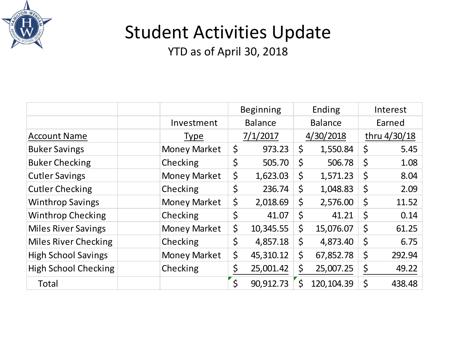

## Student Activities Update

|                             |                     | <b>Beginning</b> |         | Ending         | Interest |              |
|-----------------------------|---------------------|------------------|---------|----------------|----------|--------------|
|                             | Investment          | <b>Balance</b>   |         | <b>Balance</b> | Earned   |              |
| <b>Account Name</b>         | <b>Type</b>         | 7/1/2017         |         | 4/30/2018      |          | thru 4/30/18 |
| <b>Buker Savings</b>        | <b>Money Market</b> | \$<br>973.23     | $\zeta$ | 1,550.84       | \$       | 5.45         |
| <b>Buker Checking</b>       | Checking            | \$<br>505.70     | \$      | 506.78         | \$       | 1.08         |
| <b>Cutler Savings</b>       | <b>Money Market</b> | \$<br>1,623.03   | \$      | 1,571.23       | $\zeta$  | 8.04         |
| <b>Cutler Checking</b>      | Checking            | \$<br>236.74     | \$      | 1,048.83       | $\zeta$  | 2.09         |
| <b>Winthrop Savings</b>     | <b>Money Market</b> | \$<br>2,018.69   | \$      | 2,576.00       | \$       | 11.52        |
| <b>Winthrop Checking</b>    | Checking            | \$<br>41.07      | \$      | 41.21          | \$       | 0.14         |
| <b>Miles River Savings</b>  | <b>Money Market</b> | \$<br>10,345.55  | \$      | 15,076.07      | \$       | 61.25        |
| <b>Miles River Checking</b> | Checking            | \$<br>4,857.18   | \$      | 4,873.40       | \$       | 6.75         |
| <b>High School Savings</b>  | <b>Money Market</b> | \$<br>45,310.12  | \$      | 67,852.78      | \$       | 292.94       |
| <b>High School Checking</b> | Checking            | \$<br>25,001.42  | \$      | 25,007.25      | \$       | 49.22        |
| <b>Total</b>                |                     | \$<br>90,912.73  |         | 120, 104.39    | \$       | 438.48       |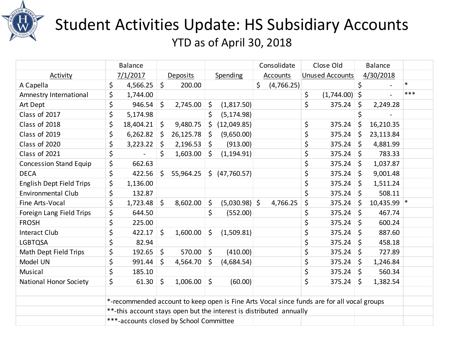

### Student Activities Update: HS Subsidiary Accounts YTD as of April 30, 2018

|                                 | <b>Balance</b>                          |              |           |         |                                                                                            | Consolidate |                 | Close Old |                        | <b>Balance</b> |               |        |
|---------------------------------|-----------------------------------------|--------------|-----------|---------|--------------------------------------------------------------------------------------------|-------------|-----------------|-----------|------------------------|----------------|---------------|--------|
| Activity                        | 7/1/2017                                |              | Deposits  |         | Spending                                                                                   |             | <b>Accounts</b> |           | <b>Unused Accounts</b> |                | 4/30/2018     |        |
| A Capella                       | \$<br>4,566.25                          | $\zeta$      | 200.00    |         |                                                                                            | \$          | (4,766.25)      |           |                        | \$             |               | $\ast$ |
| Amnestry International          | \$<br>1,744.00                          |              |           |         |                                                                                            |             |                 | \$        | $(1,744.00)$ \$        |                |               | $***$  |
| Art Dept                        | \$<br>946.54                            | \$           | 2,745.00  | \$      | (1,817.50)                                                                                 |             |                 | \$        | 375.24                 | \$             | 2,249.28      |        |
| Class of 2017                   | \$<br>5,174.98                          |              |           |         | (5, 174.98)                                                                                |             |                 |           |                        | \$             |               |        |
| Class of 2018                   | \$<br>18,404.21                         | $\mathsf{S}$ | 9,480.75  | \$      | (12,049.85)                                                                                |             |                 | \$        | 375.24                 | Ś.             | 16,210.35     |        |
| Class of 2019                   | \$<br>6,262.82                          | \$           | 26,125.78 | $\zeta$ | (9,650.00)                                                                                 |             |                 | \$        | 375.24                 | Ŝ.             | 23,113.84     |        |
| Class of 2020                   | \$<br>3,223.22                          | \$           | 2,196.53  | $\zeta$ | (913.00)                                                                                   |             |                 | \$        | 375.24                 | S.             | 4,881.99      |        |
| Class of 2021                   | \$                                      | \$           | 1,603.00  | \$      | (1, 194.91)                                                                                |             |                 | \$        | 375.24                 | \$             | 783.33        |        |
| <b>Concession Stand Equip</b>   | \$<br>662.63                            |              |           |         |                                                                                            |             |                 | \$        | 375.24                 | S.             | 1,037.87      |        |
| <b>DECA</b>                     | \$<br>422.56                            | \$           | 55,964.25 |         | $\sin(47,760.57)$                                                                          |             |                 | \$        | 375.24                 | $\zeta$        | 9,001.48      |        |
| <b>English Dept Field Trips</b> | \$<br>1,136.00                          |              |           |         |                                                                                            |             |                 | \$        | 375.24                 | $\zeta$        | 1,511.24      |        |
| <b>Environmental Club</b>       | \$<br>132.87                            |              |           |         |                                                                                            |             |                 | \$        | 375.24                 | $\zeta$        | 508.11        |        |
| Fine Arts-Vocal                 | \$<br>1,723.48                          | $\mathsf{S}$ | 8,602.00  | \$      | $(5,030.98)$ \$                                                                            |             | 4,766.25        | \$        | 375.24                 | Ŝ              | $10,435.99$ * |        |
| Foreign Lang Field Trips        | \$<br>644.50                            |              |           | \$      | (552.00)                                                                                   |             |                 | \$        | 375.24                 | $\zeta$        | 467.74        |        |
| <b>FROSH</b>                    | \$<br>225.00                            |              |           |         |                                                                                            |             |                 | \$        | 375.24                 | \$             | 600.24        |        |
| <b>Interact Club</b>            | \$<br>422.17                            | $\mathsf{S}$ | 1,600.00  | \$      | (1,509.81)                                                                                 |             |                 | \$        | 375.24                 | $\zeta$        | 887.60        |        |
| LGBTQSA                         | \$<br>82.94                             |              |           |         |                                                                                            |             |                 | \$        | 375.24                 | $\zeta$        | 458.18        |        |
| Math Dept Field Trips           | \$<br>192.65                            | $\zeta$      | 570.00    | $\zeta$ | (410.00)                                                                                   |             |                 | \$        | 375.24                 | \$             | 727.89        |        |
| Model UN                        | \$<br>991.44                            | \$           | 4,564.70  | \$      | (4,684.54)                                                                                 |             |                 | \$        | 375.24                 | $\zeta$        | 1,246.84      |        |
| Musical                         | \$<br>185.10                            |              |           |         |                                                                                            |             |                 | \$        | 375.24                 | $\zeta$        | 560.34        |        |
| National Honor Society          | \$<br>61.30                             | $\zeta$      | 1,006.00  | \$      | (60.00)                                                                                    |             |                 | \$        | 375.24                 | $\zeta$        | 1,382.54      |        |
|                                 |                                         |              |           |         |                                                                                            |             |                 |           |                        |                |               |        |
|                                 |                                         |              |           |         | *-recommended account to keep open is Fine Arts Vocal since funds are for all vocal groups |             |                 |           |                        |                |               |        |
|                                 |                                         |              |           |         | **-this account stays open but the interest is distributed annually                        |             |                 |           |                        |                |               |        |
|                                 | ***-accounts closed by School Committee |              |           |         |                                                                                            |             |                 |           |                        |                |               |        |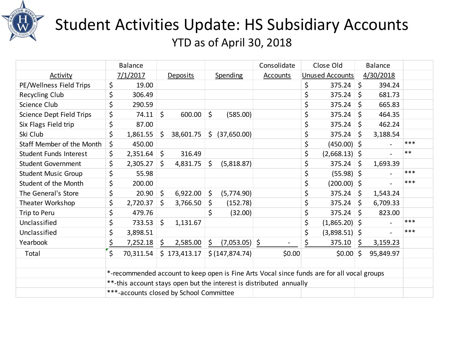

### Student Activities Update: HS Subsidiary Accounts YTD as of April 30, 2018

|                                 | <b>Balance</b>                          |              |              | Consolidate | Close Old       |                                                                                            |    | <b>Balance</b>  |              |           |       |
|---------------------------------|-----------------------------------------|--------------|--------------|-------------|-----------------|--------------------------------------------------------------------------------------------|----|-----------------|--------------|-----------|-------|
| Activity                        | 7/1/2017                                |              | Deposits     |             | <b>Spending</b> | Accounts                                                                                   |    | Unused Accounts |              | 4/30/2018 |       |
| PE/Wellness Field Trips         | \$<br>19.00                             |              |              |             |                 |                                                                                            | \$ | $375.24$ \$     |              | 394.24    |       |
| Recycling Club                  | \$<br>306.49                            |              |              |             |                 |                                                                                            | \$ | 375.24          | \$           | 681.73    |       |
| <b>Science Club</b>             | \$<br>290.59                            |              |              |             |                 |                                                                                            | \$ | 375.24          | Ŝ.           | 665.83    |       |
| <b>Science Dept Field Trips</b> | \$<br>74.11                             | \$           | 600.00       | \$          | (585.00)        |                                                                                            | \$ | 375.24          | Ŝ.           | 464.35    |       |
| Six Flags Field trip            | \$<br>87.00                             |              |              |             |                 |                                                                                            | \$ | 375.24          | S.           | 462.24    |       |
| Ski Club                        | \$<br>1,861.55                          | \$           | 38,601.75    |             | \$ (37,650.00)  |                                                                                            | \$ | 375.24          | ∣\$          | 3,188.54  |       |
| Staff Member of the Month       | \$<br>450.00                            |              |              |             |                 |                                                                                            | \$ | $(450.00)$ \$   |              |           | ***   |
| <b>Student Funds Interest</b>   | \$<br>2,351.64                          | \$           | 316.49       |             |                 |                                                                                            | \$ | $(2,668.13)$ \$ |              |           | $***$ |
| <b>Student Government</b>       | \$<br>2,305.27                          | $\mathsf{S}$ | 4,831.75     | \$          | (5,818.87)      |                                                                                            | \$ | 375.24          | l \$         | 1,693.39  |       |
| <b>Student Music Group</b>      | \$<br>55.98                             |              |              |             |                 |                                                                                            | \$ | $(55.98)$ \$    |              |           | ***   |
| Student of the Month            | \$<br>200.00                            |              |              |             |                 |                                                                                            | \$ | (200.00) \$     |              |           | ***   |
| The General's Store             | \$<br>20.90                             | \$           | 6,922.00     | $\zeta$     | (5,774.90)      |                                                                                            | \$ | 375.24          | S.           | 1,543.24  |       |
| Theater Workshop                | \$<br>2,720.37                          | \$           | 3,766.50     | \$          | (152.78)        |                                                                                            | \$ | 375.24          | Ŝ.           | 6,709.33  |       |
| Trip to Peru                    | \$<br>479.76                            |              |              | \$          | (32.00)         |                                                                                            | \$ | 375.24          | $\mathsf{S}$ | 823.00    |       |
| Unclassified                    | \$<br>733.53                            | $\mathsf{S}$ | 1,131.67     |             |                 |                                                                                            | \$ | $(1,865.20)$ \$ |              |           | ***   |
| Unclassified                    | \$<br>3,898.51                          |              |              |             |                 |                                                                                            | \$ | $(3,898.51)$ \$ |              |           | ***   |
| Yearbook                        | \$<br>7,252.18                          | \$           | 2,585.00     | \$          | $(7,053.05)$ \$ |                                                                                            | \$ | 375.10          | -\$          | 3,159.23  |       |
| Total                           | \$<br>70,311.54                         |              | \$173,413.17 |             | \$(147, 874.74) | \$0.00                                                                                     |    | $$0.00 $ \$     |              | 95,849.97 |       |
|                                 |                                         |              |              |             |                 |                                                                                            |    |                 |              |           |       |
|                                 |                                         |              |              |             |                 | *-recommended account to keep open is Fine Arts Vocal since funds are for all vocal groups |    |                 |              |           |       |
|                                 |                                         |              |              |             |                 | **-this account stays open but the interest is distributed annually                        |    |                 |              |           |       |
|                                 | ***-accounts closed by School Committee |              |              |             |                 |                                                                                            |    |                 |              |           |       |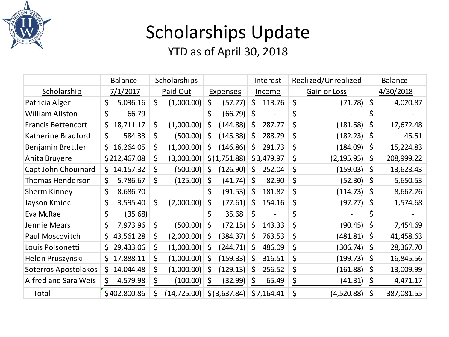

## Scholarships Update

|                             | <b>Balance</b>    | Scholarships |              |         |                 | Interest |                          | Realized/Unrealized |                  |         | <b>Balance</b> |
|-----------------------------|-------------------|--------------|--------------|---------|-----------------|----------|--------------------------|---------------------|------------------|---------|----------------|
| Scholarship                 | 7/1/2017          |              | Paid Out     |         | <b>Expenses</b> |          | Income                   |                     | Gain or Loss     |         | 4/30/2018      |
| Patricia Alger              | \$<br>5,036.16    | $\zeta$      | (1,000.00)   | \$      | (57.27)         | \$       | 113.76                   | \$                  | $(71.78)$ \$     |         | 4,020.87       |
| <b>William Allston</b>      | \$<br>66.79       |              |              | \$      | (66.79)  \$     |          |                          | \$                  |                  | \$      |                |
| <b>Francis Bettencort</b>   | \$<br>18,711.17   | \$           | (1,000.00)   | \$      | (144.88)        | Ś        | 287.77                   | \$                  | (181.58)         | \$      | 17,672.48      |
| Katherine Bradford          | \$<br>584.33      | \$           | (500.00)     | \$      | (145.38)        | \$       | 288.79                   | \$                  | $(182.23)$ \$    |         | 45.51          |
| Benjamin Brettler           | 16,264.05<br>\$   | \$           | (1,000.00)   | \$      | (146.86)        | \$       | 291.73                   | \$                  | $(184.09)$ \$    |         | 15,224.83      |
| Anita Bruyere               | \$212,467.08      | \$           | (3,000.00)   |         | \$(1,751.88)    |          | \$3,479.97               | \$                  | $(2, 195.95)$ \$ |         | 208,999.22     |
| Capt John Chouinard         | \$<br>14, 157. 32 | \$           | (500.00)     | \$      | (126.90)        | \$       | 252.04                   | \$                  | $(159.03)$ \$    |         | 13,623.43      |
| <b>Thomas Henderson</b>     | Ś<br>5,786.67     | $\zeta$      | (125.00)     | $\zeta$ | (41.74)         | \$       | 82.90                    | \$                  | $(52.30)$ \$     |         | 5,650.53       |
| Sherm Kinney                | \$<br>8,686.70    |              |              | \$      | (91.53)         | \$       | 181.82                   | \$                  | $(114.73)$ \$    |         | 8,662.26       |
| Jayson Kmiec                | \$<br>3,595.40    | Ś.           | (2,000.00)   | $\zeta$ | (77.61)         | \$       | 154.16                   | \$                  | (97.27)          | \$      | 1,574.68       |
| Eva McRae                   | \$<br>(35.68)     |              |              | \$      | 35.68           | \$       | $\overline{\phantom{a}}$ | \$                  |                  | Ś       |                |
| Jennie Mears                | \$<br>7,973.96    | $\zeta$      | (500.00)     | $\zeta$ | (72.15)         | \$       | 143.33                   | \$                  | $(90.45)$ \$     |         | 7,454.69       |
| Paul Moscovitch             | 43,561.28<br>\$   | \$           | (2,000.00)   | \$      | (384.37)        | \$       | 763.53                   | \$                  | $(481.81)$ \$    |         | 41,458.63      |
| Louis Polsonetti            | 29,433.06<br>\$   | \$           | (1,000.00)   | \$      | (244.71)        | \$.      | 486.09                   | \$                  | $(306.74)$ \$    |         | 28,367.70      |
| Helen Pruszynski            | 17,888.11<br>Ś.   | \$           | (1,000.00)   | \$      | (159.33)        | S        | 316.51                   | \$                  | $(199.73)$ \$    |         | 16,845.56      |
| Soterros Apostolakos        | 14,044.48<br>\$   | \$           | (1,000.00)   | \$      | (129.13)        | \$       | 256.52                   | \$                  | (161.88)         | -\$     | 13,009.99      |
| <b>Alfred and Sara Weis</b> | \$<br>4,579.98    | \$           | (100.00)     | \$      | (32.99)         | \$       | 65.49                    | \$                  | (41.31)          | \$.     | 4,471.17       |
| Total                       | \$402,800.86      | \$           | (14, 725.00) |         | \$(3,637.84)    |          | \$7,164.41               | \$                  | (4,520.88)       | $\zeta$ | 387,081.55     |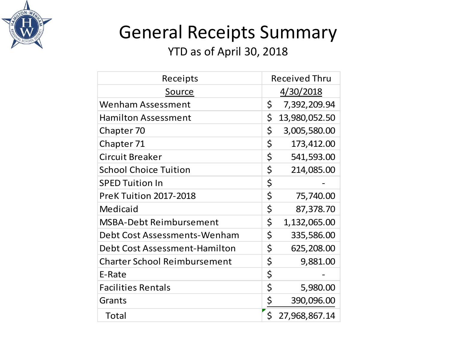

## General Receipts Summary

| Receipts                            | <b>Received Thru</b> |
|-------------------------------------|----------------------|
| Source                              | 4/30/2018            |
| <b>Wenham Assessment</b>            | \$<br>7,392,209.94   |
| <b>Hamilton Assessment</b>          | \$<br>13,980,052.50  |
| Chapter 70                          | \$<br>3,005,580.00   |
| Chapter 71                          | \$<br>173,412.00     |
| <b>Circuit Breaker</b>              | \$<br>541,593.00     |
| <b>School Choice Tuition</b>        | \$<br>214,085.00     |
| <b>SPED Tuition In</b>              | \$                   |
| <b>PreK Tuition 2017-2018</b>       | \$<br>75,740.00      |
| Medicaid                            | \$<br>87,378.70      |
| <b>MSBA-Debt Reimbursement</b>      | \$<br>1,132,065.00   |
| Debt Cost Assessments-Wenham        | \$<br>335,586.00     |
| Debt Cost Assessment-Hamilton       | \$<br>625,208.00     |
| <b>Charter School Reimbursement</b> | \$<br>9,881.00       |
| E-Rate                              | \$                   |
| <b>Facilities Rentals</b>           | \$<br>5,980.00       |
| Grants                              | \$<br>390,096.00     |
| <b>Total</b>                        | \$<br>27,968,867.14  |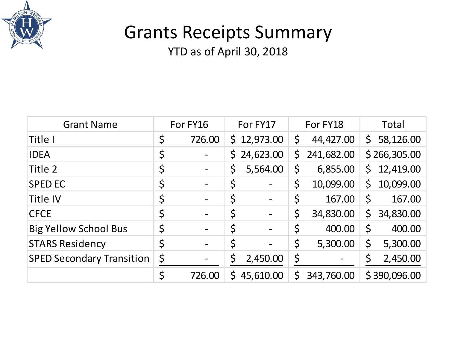

### Grants Receipts Summary

| <b>Grant Name</b>                | For FY16 |        |              | For FY17                 |             | For FY18   | Total   |              |  |
|----------------------------------|----------|--------|--------------|--------------------------|-------------|------------|---------|--------------|--|
| Title I                          | \$       | 726.00 |              | \$12,973.00              | \$          | 44,427.00  | S.      | 58,126.00    |  |
| <b>IDEA</b>                      | \$       |        | $\mathsf{S}$ | 24,623.00                | \$          | 241,682.00 |         | \$266,305.00 |  |
| Title 2                          | \$       |        |              | 5,564.00                 | \$          | 6,855.00   | S.      | 12,419.00    |  |
| <b>SPED EC</b>                   | \$       |        | $\varsigma$  |                          | $\zeta$     | 10,099.00  | S       | 10,099.00    |  |
| <b>Title IV</b>                  | \$       |        | \$           |                          | \$          | 167.00     | $\zeta$ | 167.00       |  |
| <b>CFCE</b>                      | \$       |        | \$           |                          | \$          | 34,830.00  | \$      | 34,830.00    |  |
| <b>Big Yellow School Bus</b>     | Ś        |        | \$           | $\overline{\phantom{a}}$ | \$          | 400.00     | \$      | 400.00       |  |
| <b>STARS Residency</b>           | \$       |        | \$           |                          | \$          | 5,300.00   | \$      | 5,300.00     |  |
| <b>SPED Secondary Transition</b> | \$       |        | \$           | 2,450.00                 | \$          |            | \$      | 2,450.00     |  |
|                                  | \$       | 726.00 | $\mathsf{S}$ | 45,610.00                | $\mathsf S$ | 343,760.00 |         | \$390,096.00 |  |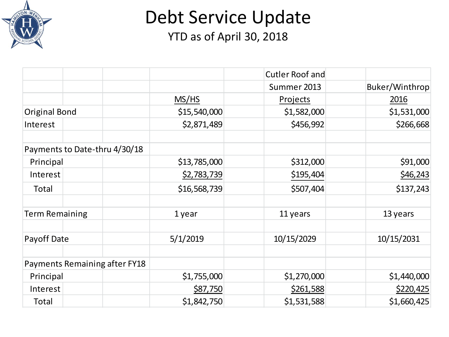

Debt Service Update

|                               |              | <b>Cutler Roof and</b> |                |
|-------------------------------|--------------|------------------------|----------------|
|                               |              | Summer 2013            | Buker/Winthrop |
|                               | MS/HS        | Projects               | 2016           |
| <b>Original Bond</b>          | \$15,540,000 | \$1,582,000            | \$1,531,000    |
| Interest                      | \$2,871,489  | \$456,992              | \$266,668      |
| Payments to Date-thru 4/30/18 |              |                        |                |
| Principal                     | \$13,785,000 | \$312,000              | \$91,000       |
| Interest                      | \$2,783,739  | \$195,404              | \$46,243       |
| Total                         | \$16,568,739 | \$507,404              | \$137,243      |
| <b>Term Remaining</b>         | 1 year       | 11 years               | 13 years       |
| Payoff Date                   | 5/1/2019     | 10/15/2029             | 10/15/2031     |
| Payments Remaining after FY18 |              |                        |                |
| Principal                     | \$1,755,000  | \$1,270,000            | \$1,440,000    |
| Interest                      | \$87,750     | \$261,588              | \$220,425      |
| Total                         | \$1,842,750  | \$1,531,588            | \$1,660,425    |